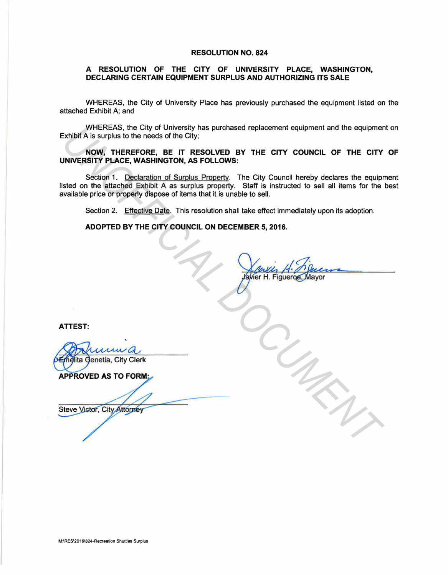## RESOLUTION NO. 824

## A RESOLUTION OF THE CITY OF UNIVERSITY PLACE, WASHINGTON, DECLARING CERTAIN EQUIPMENT SURPLUS AND AUTHORIZING ITS SALE

WHEREAS, the City of University Place has previously purchased the equipment listed on the attached Exhibit A; and

WHEREAS, the City of University has purchased replacement equipment and the equipment on Exhibit A is surplus to the needs of the City;

NOW, THEREFORE, BE IT RESOLVED BY THE CITY COUNCIL OF THE CITY OF UNIVERSITY PLACE, WASHINGTON, AS FOLLOWS:

Section 1. Declaration of Surplus Property. The City Council hereby declares the equipment listed on the attached Exhibit A as surplus property. Staff is instructed to sell all items for the best available price or properly dispose of items that it is unable to sell. WHEREAS, the City of University has purchased replacement equipment and the equipment<br>
Xhibit A is surplus to the needs of the City<br>
NOW, THEREFORE, BE IT RESOLVED BY THE CITY COUNCIL OF THE CITY<br>
NOW, THEREFORE, BE IT RES

Section 2. Effective Date. This resolution shall take effect immediately upon its adoption.

ADOPTED BY THE CITY COUNCIL ON DECEMBER 5, 2016.

ATTEST:

M:\RES\2016\824-Recreation Shuttles Surplus